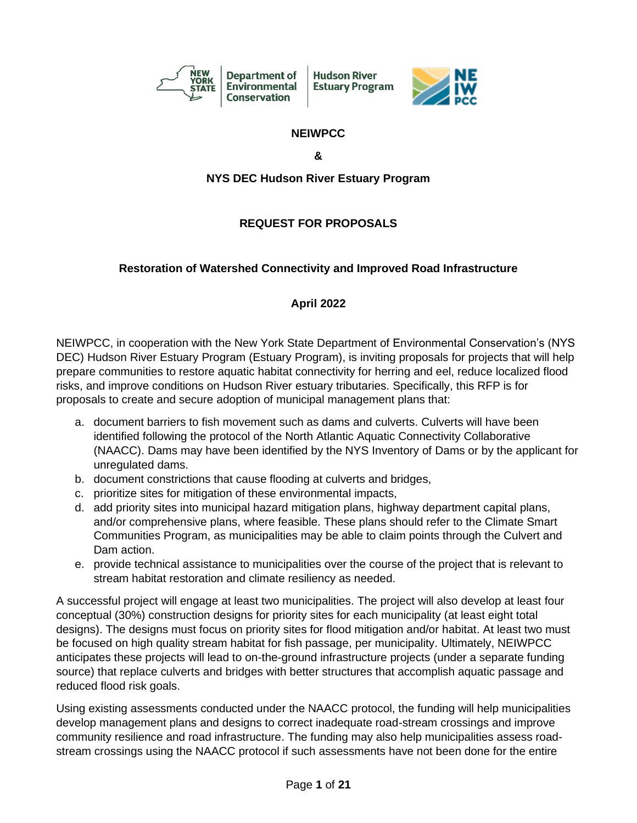

**Hudson River Estuary Program** 



#### **NEIWPCC**

**&**

### **NYS DEC Hudson River Estuary Program**

## **REQUEST FOR PROPOSALS**

## **Restoration of Watershed Connectivity and Improved Road Infrastructure**

## **April 2022**

NEIWPCC, in cooperation with the New York State Department of Environmental Conservation's (NYS DEC) Hudson River Estuary Program (Estuary Program), is inviting proposals for projects that will help prepare communities to restore aquatic habitat connectivity for herring and eel, reduce localized flood risks, and improve conditions on Hudson River estuary tributaries. Specifically, this RFP is for proposals to create and secure adoption of municipal management plans that:

- a. document barriers to fish movement such as dams and culverts. Culverts will have been identified following the protocol of the North Atlantic Aquatic Connectivity Collaborative (NAACC). Dams may have been identified by the NYS Inventory of Dams or by the applicant for unregulated dams.
- b. document constrictions that cause flooding at culverts and bridges,
- c. prioritize sites for mitigation of these environmental impacts,
- d. add priority sites into municipal hazard mitigation plans, highway department capital plans, and/or comprehensive plans, where feasible. These plans should refer to the Climate Smart Communities Program, as municipalities may be able to claim points through the Culvert and Dam action.
- e. provide technical assistance to municipalities over the course of the project that is relevant to stream habitat restoration and climate resiliency as needed.

A successful project will engage at least two municipalities. The project will also develop at least four conceptual (30%) construction designs for priority sites for each municipality (at least eight total designs). The designs must focus on priority sites for flood mitigation and/or habitat. At least two must be focused on high quality stream habitat for fish passage, per municipality. Ultimately, NEIWPCC anticipates these projects will lead to on-the-ground infrastructure projects (under a separate funding source) that replace culverts and bridges with better structures that accomplish aquatic passage and reduced flood risk goals.

Using existing assessments conducted under the NAACC protocol, the funding will help municipalities develop management plans and designs to correct inadequate road-stream crossings and improve community resilience and road infrastructure. The funding may also help municipalities assess roadstream crossings using the NAACC protocol if such assessments have not been done for the entire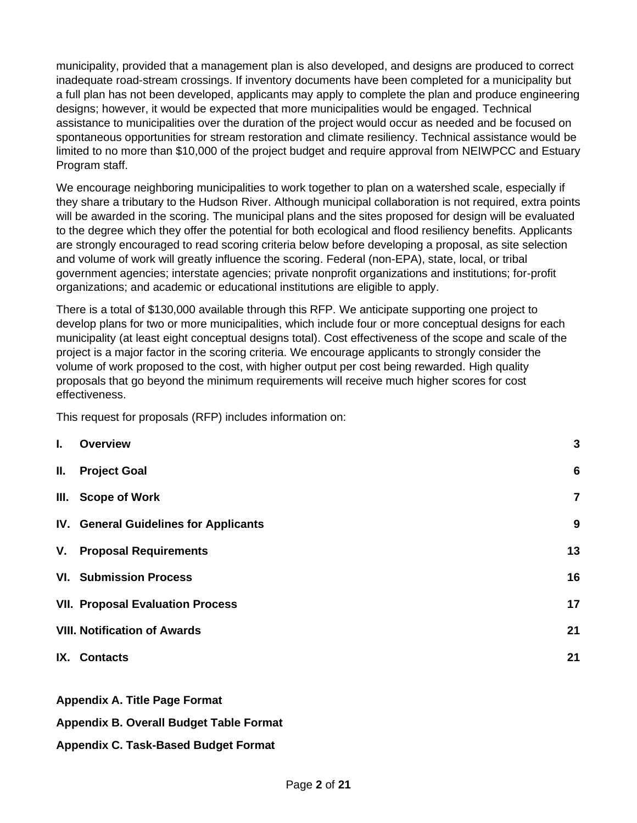municipality, provided that a management plan is also developed, and designs are produced to correct inadequate road-stream crossings. If inventory documents have been completed for a municipality but a full plan has not been developed, applicants may apply to complete the plan and produce engineering designs; however, it would be expected that more municipalities would be engaged. Technical assistance to municipalities over the duration of the project would occur as needed and be focused on spontaneous opportunities for stream restoration and climate resiliency. Technical assistance would be limited to no more than \$10,000 of the project budget and require approval from NEIWPCC and Estuary Program staff.

We encourage neighboring municipalities to work together to plan on a watershed scale, especially if they share a tributary to the Hudson River. Although municipal collaboration is not required, extra points will be awarded in the scoring. The municipal plans and the sites proposed for design will be evaluated to the degree which they offer the potential for both ecological and flood resiliency benefits. Applicants are strongly encouraged to read scoring criteria below before developing a proposal, as site selection and volume of work will greatly influence the scoring. Federal (non-EPA), state, local, or tribal government agencies; interstate agencies; private nonprofit organizations and institutions; for-profit organizations; and academic or educational institutions are eligible to apply.

There is a total of \$130,000 available through this RFP. We anticipate supporting one project to develop plans for two or more municipalities, which include four or more conceptual designs for each municipality (at least eight conceptual designs total). Cost effectiveness of the scope and scale of the project is a major factor in the scoring criteria. We encourage applicants to strongly consider the volume of work proposed to the cost, with higher output per cost being rewarded. High quality proposals that go beyond the minimum requirements will receive much higher scores for cost effectiveness.

This request for proposals (RFP) includes information on:

| $\mathbf{L}$ | <b>Overview</b>                         | 3                       |
|--------------|-----------------------------------------|-------------------------|
| II.          | <b>Project Goal</b>                     | 6                       |
|              | III. Scope of Work                      | $\overline{\mathbf{7}}$ |
|              | IV. General Guidelines for Applicants   | 9                       |
| V.           | <b>Proposal Requirements</b>            | 13                      |
|              | <b>VI. Submission Process</b>           | 16                      |
|              | <b>VII. Proposal Evaluation Process</b> | 17                      |
|              | <b>VIII. Notification of Awards</b>     | 21                      |
| IX.          | <b>Contacts</b>                         | 21                      |
|              |                                         |                         |

**Appendix A. Title Page Format**

**Appendix B. Overall Budget Table Format**

#### **Appendix C. Task-Based Budget Format**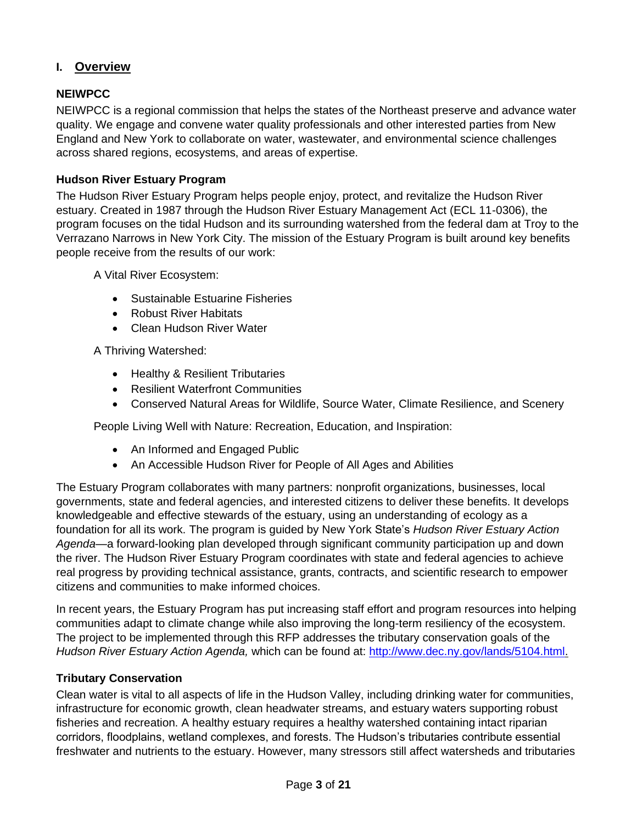# <span id="page-2-0"></span>**I. Overview**

## **NEIWPCC**

NEIWPCC is a regional commission that helps the states of the Northeast preserve and advance water quality. We engage and convene water quality professionals and other interested parties from New England and New York to collaborate on water, wastewater, and environmental science challenges across shared regions, ecosystems, and areas of expertise.

#### **Hudson River Estuary Program**

The Hudson River Estuary Program helps people enjoy, protect, and revitalize the Hudson River estuary. Created in 1987 through the Hudson River Estuary Management Act (ECL 11-0306), the program focuses on the tidal Hudson and its surrounding watershed from the federal dam at Troy to the Verrazano Narrows in New York City. The mission of the Estuary Program is built around key benefits people receive from the results of our work:

A Vital River Ecosystem:

- Sustainable Estuarine Fisheries
- Robust River Habitats
- Clean Hudson River Water

A Thriving Watershed:

- Healthy & Resilient Tributaries
- Resilient Waterfront Communities
- Conserved Natural Areas for Wildlife, Source Water, Climate Resilience, and Scenery

People Living Well with Nature: Recreation, Education, and Inspiration:

- An Informed and Engaged Public
- An Accessible Hudson River for People of All Ages and Abilities

The Estuary Program collaborates with many partners: nonprofit organizations, businesses, local governments, state and federal agencies, and interested citizens to deliver these benefits. It develops knowledgeable and effective stewards of the estuary, using an understanding of ecology as a foundation for all its work. The program is guided by New York State's *Hudson River Estuary Action Agenda*—a forward-looking plan developed through significant community participation up and down the river. The Hudson River Estuary Program coordinates with state and federal agencies to achieve real progress by providing technical assistance, grants, contracts, and scientific research to empower citizens and communities to make informed choices.

In recent years, the Estuary Program has put increasing staff effort and program resources into helping communities adapt to climate change while also improving the long-term resiliency of the ecosystem. The project to be implemented through this RFP addresses the tributary conservation goals of the *Hudson River Estuary Action Agenda,* which can be found at: [http://www.dec.ny.gov/lands/5104.html.](http://www.dec.ny.gov/lands/5104.html)

#### **Tributary Conservation**

Clean water is vital to all aspects of life in the Hudson Valley, including drinking water for communities, infrastructure for economic growth, clean headwater streams, and estuary waters supporting robust fisheries and recreation. A healthy estuary requires a healthy watershed containing intact riparian corridors, floodplains, wetland complexes, and forests. The Hudson's tributaries contribute essential freshwater and nutrients to the estuary. However, many stressors still affect watersheds and tributaries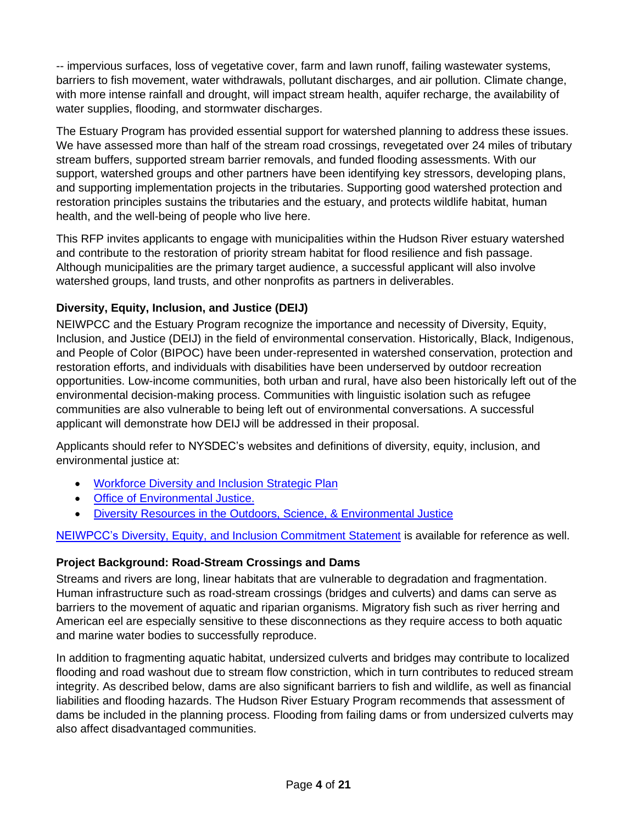-- impervious surfaces, loss of vegetative cover, farm and lawn runoff, failing wastewater systems, barriers to fish movement, water withdrawals, pollutant discharges, and air pollution. Climate change, with more intense rainfall and drought, will impact stream health, aquifer recharge, the availability of water supplies, flooding, and stormwater discharges.

The Estuary Program has provided essential support for watershed planning to address these issues. We have assessed more than half of the stream road crossings, revegetated over 24 miles of tributary stream buffers, supported stream barrier removals, and funded flooding assessments. With our support, watershed groups and other partners have been identifying key stressors, developing plans, and supporting implementation projects in the tributaries. Supporting good watershed protection and restoration principles sustains the tributaries and the estuary, and protects wildlife habitat, human health, and the well-being of people who live here.

This RFP invites applicants to engage with municipalities within the Hudson River estuary watershed and contribute to the restoration of priority stream habitat for flood resilience and fish passage. Although municipalities are the primary target audience, a successful applicant will also involve watershed groups, land trusts, and other nonprofits as partners in deliverables.

### **Diversity, Equity, Inclusion, and Justice (DEIJ)**

NEIWPCC and the Estuary Program recognize the importance and necessity of Diversity, Equity, Inclusion, and Justice (DEIJ) in the field of environmental conservation. Historically, Black, Indigenous, and People of Color (BIPOC) have been under-represented in watershed conservation, protection and restoration efforts, and individuals with disabilities have been underserved by outdoor recreation opportunities. Low-income communities, both urban and rural, have also been historically left out of the environmental decision-making process. Communities with linguistic isolation such as refugee communities are also vulnerable to being left out of environmental conversations. A successful applicant will demonstrate how DEIJ will be addressed in their proposal.

Applicants should refer to NYSDEC's websites and definitions of diversity, equity, inclusion, and environmental justice at:

- [Workforce](https://www.dec.ny.gov/docs/administration_pdf/wfdiplan.pdf) Diversity and Inclusion Strategic Plan
- Office of [Environmental](https://www.dec.ny.gov/public/333.html) Justice.
- Diversity Resources in the Outdoors, Science, & [Environmental](https://www.dec.ny.gov/public/120591.html) Justice

NEIWPCC's Diversity, Equity, and Inclusion [Commitment](http://neiwpcc.org/wp-content/uploads/2021/01/DEI-Commitment-2020_final_01.15.2021.pdf) Statement is available for reference as well.

### **Project Background: Road-Stream Crossings and Dams**

Streams and rivers are long, linear habitats that are vulnerable to degradation and fragmentation. Human infrastructure such as road-stream crossings (bridges and culverts) and dams can serve as barriers to the movement of aquatic and riparian organisms. Migratory fish such as river herring and American eel are especially sensitive to these disconnections as they require access to both aquatic and marine water bodies to successfully reproduce.

In addition to fragmenting aquatic habitat, undersized culverts and bridges may contribute to localized flooding and road washout due to stream flow constriction, which in turn contributes to reduced stream integrity. As described below, dams are also significant barriers to fish and wildlife, as well as financial liabilities and flooding hazards. The Hudson River Estuary Program recommends that assessment of dams be included in the planning process. Flooding from failing dams or from undersized culverts may also affect disadvantaged communities.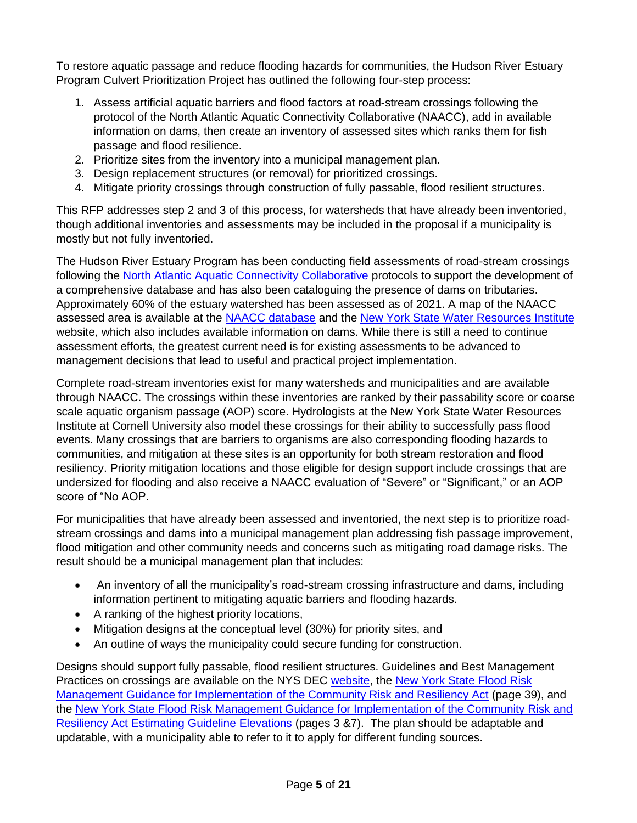To restore aquatic passage and reduce flooding hazards for communities, the Hudson River Estuary Program Culvert Prioritization Project has outlined the following four-step process:

- 1. Assess artificial aquatic barriers and flood factors at road-stream crossings following the protocol of the North Atlantic Aquatic Connectivity Collaborative (NAACC), add in available information on dams, then create an inventory of assessed sites which ranks them for fish passage and flood resilience.
- 2. Prioritize sites from the inventory into a municipal management plan.
- 3. Design replacement structures (or removal) for prioritized crossings.
- 4. Mitigate priority crossings through construction of fully passable, flood resilient structures.

This RFP addresses step 2 and 3 of this process, for watersheds that have already been inventoried, though additional inventories and assessments may be included in the proposal if a municipality is mostly but not fully inventoried.

The Hudson River Estuary Program has been conducting field assessments of road-stream crossings following the [North Atlantic Aquatic Connectivity Collaborative](http://streamcontinuity.org/) protocols to support the development of a comprehensive database and has also been cataloguing the presence of dams on tributaries. Approximately 60% of the estuary watershed has been assessed as of 2021. A map of the NAACC assessed area is available at the [NAACC database](https://naacc.org/naacc_search_crossing.cfm) and the [New York State Water Resources Institute](https://wri.cals.cornell.edu/hudson-river-estuary/watershed-management/aquatic-connectivity-and-barrier-removal-culvert-dams) website, which also includes available information on dams. While there is still a need to continue assessment efforts, the greatest current need is for existing assessments to be advanced to management decisions that lead to useful and practical project implementation.

Complete road-stream inventories exist for many watersheds and municipalities and are available through NAACC. The crossings within these inventories are ranked by their passability score or coarse scale aquatic organism passage (AOP) score. Hydrologists at the New York State Water Resources Institute at Cornell University also model these crossings for their ability to successfully pass flood events. Many crossings that are barriers to organisms are also corresponding flooding hazards to communities, and mitigation at these sites is an opportunity for both stream restoration and flood resiliency. Priority mitigation locations and those eligible for design support include crossings that are undersized for flooding and also receive a NAACC evaluation of "Severe" or "Significant," or an AOP score of "No AOP.

For municipalities that have already been assessed and inventoried, the next step is to prioritize roadstream crossings and dams into a municipal management plan addressing fish passage improvement, flood mitigation and other community needs and concerns such as mitigating road damage risks. The result should be a municipal management plan that includes:

- An inventory of all the municipality's road-stream crossing infrastructure and dams, including information pertinent to mitigating aquatic barriers and flooding hazards.
- A ranking of the highest priority locations,
- Mitigation designs at the conceptual level (30%) for priority sites, and
- An outline of ways the municipality could secure funding for construction.

Designs should support fully passable, flood resilient structures. Guidelines and Best Management Practices on crossings are available on the NYS DEC [website,](https://www.dec.ny.gov/permits/49066.html) the New York State Flood Risk [Management Guidance for Implementation of the Community Risk and Resiliency Act](https://www.dec.ny.gov/docs/administration_pdf/crrafloodriskmgmtgdnc.pdf) (page 39), and the [New York State Flood Risk Management Guidance for Implementation of the Community Risk and](https://www.dec.ny.gov/docs/administration_pdf/crraestelevguidelines.pdf)  [Resiliency Act Estimating Guideline Elevations](https://www.dec.ny.gov/docs/administration_pdf/crraestelevguidelines.pdf) (pages 3 &7). The plan should be adaptable and updatable, with a municipality able to refer to it to apply for different funding sources.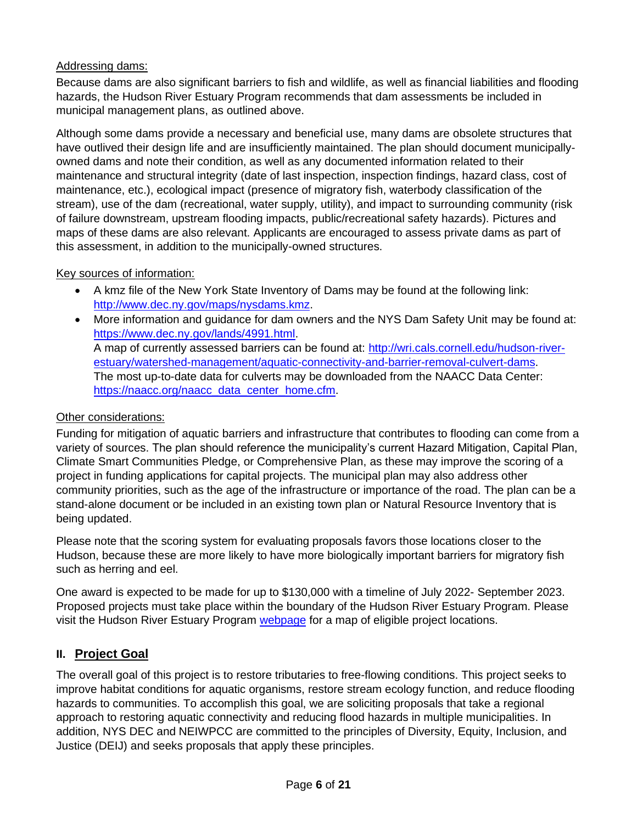#### Addressing dams:

Because dams are also significant barriers to fish and wildlife, as well as financial liabilities and flooding hazards, the Hudson River Estuary Program recommends that dam assessments be included in municipal management plans, as outlined above.

Although some dams provide a necessary and beneficial use, many dams are obsolete structures that have outlived their design life and are insufficiently maintained. The plan should document municipallyowned dams and note their condition, as well as any documented information related to their maintenance and structural integrity (date of last inspection, inspection findings, hazard class, cost of maintenance, etc.), ecological impact (presence of migratory fish, waterbody classification of the stream), use of the dam (recreational, water supply, utility), and impact to surrounding community (risk of failure downstream, upstream flooding impacts, public/recreational safety hazards). Pictures and maps of these dams are also relevant. Applicants are encouraged to assess private dams as part of this assessment, in addition to the municipally-owned structures.

#### Key sources of information:

- A kmz file of the New York State Inventory of Dams may be found at the following link: [http://www.dec.ny.gov/maps/nysdams.kmz.](http://www.dec.ny.gov/maps/nysdams.kmz)
- More information and guidance for dam owners and the NYS Dam Safety Unit may be found at: [https://www.dec.ny.gov/lands/4991.html.](https://www.dec.ny.gov/lands/4991.html) A map of currently assessed barriers can be found at: [http://wri.cals.cornell.edu/hudson-river](http://wri.cals.cornell.edu/hudson-river-estuary/watershed-management/aquatic-connectivity-and-barrier-removal-culvert-dams)[estuary/watershed-management/aquatic-connectivity-and-barrier-removal-culvert-dams.](http://wri.cals.cornell.edu/hudson-river-estuary/watershed-management/aquatic-connectivity-and-barrier-removal-culvert-dams) The most up-to-date data for culverts may be downloaded from the NAACC Data Center: [https://naacc.org/naacc\\_data\\_center\\_home.cfm.](https://naacc.org/naacc_data_center_home.cfm)

#### Other considerations:

Funding for mitigation of aquatic barriers and infrastructure that contributes to flooding can come from a variety of sources. The plan should reference the municipality's current Hazard Mitigation, Capital Plan, Climate Smart Communities Pledge, or Comprehensive Plan, as these may improve the scoring of a project in funding applications for capital projects. The municipal plan may also address other community priorities, such as the age of the infrastructure or importance of the road. The plan can be a stand-alone document or be included in an existing town plan or Natural Resource Inventory that is being updated.

Please note that the scoring system for evaluating proposals favors those locations closer to the Hudson, because these are more likely to have more biologically important barriers for migratory fish such as herring and eel.

One award is expected to be made for up to \$130,000 with a timeline of July 2022- September 2023. Proposed projects must take place within the boundary of the Hudson River Estuary Program. Please visit the Hudson River Estuary Program **webpage** for a map of eligible project locations.

# <span id="page-5-0"></span>**II. Project Goal**

The overall goal of this project is to restore tributaries to free-flowing conditions. This project seeks to improve habitat conditions for aquatic organisms, restore stream ecology function, and reduce flooding hazards to communities. To accomplish this goal, we are soliciting proposals that take a regional approach to restoring aquatic connectivity and reducing flood hazards in multiple municipalities. In addition, NYS DEC and NEIWPCC are committed to the principles of Diversity, Equity, Inclusion, and Justice (DEIJ) and seeks proposals that apply these principles.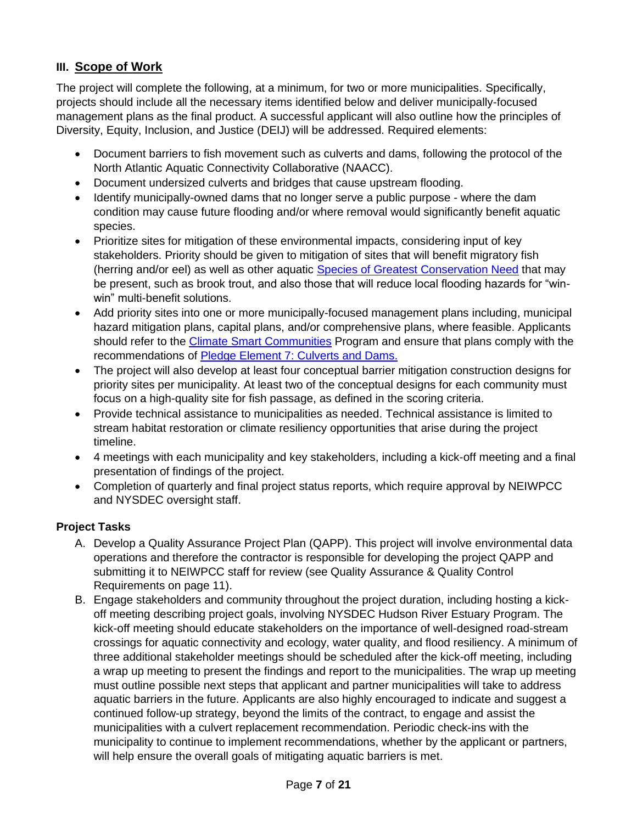# <span id="page-6-0"></span>**III. Scope of Work**

The project will complete the following, at a minimum, for two or more municipalities. Specifically, projects should include all the necessary items identified below and deliver municipally-focused management plans as the final product. A successful applicant will also outline how the principles of Diversity, Equity, Inclusion, and Justice (DEIJ) will be addressed. Required elements:

- Document barriers to fish movement such as culverts and dams, following the protocol of the North Atlantic Aquatic Connectivity Collaborative (NAACC).
- Document undersized culverts and bridges that cause upstream flooding.
- Identify municipally-owned dams that no longer serve a public purpose where the dam condition may cause future flooding and/or where removal would significantly benefit aquatic species.
- Prioritize sites for mitigation of these environmental impacts, considering input of key stakeholders. Priority should be given to mitigation of sites that will benefit migratory fish (herring and/or eel) as well as other aquatic [Species of Greatest Conservation Need](https://www.dec.ny.gov/animals/9406.html) that may be present, such as brook trout, and also those that will reduce local flooding hazards for "winwin" multi-benefit solutions.
- Add priority sites into one or more municipally-focused management plans including, municipal hazard mitigation plans, capital plans, and/or comprehensive plans, where feasible. Applicants should refer to the [Climate Smart Communities](https://climatesmart.ny.gov/) Program and ensure that plans comply with the recommendations of [Pledge Element 7: Culverts and Dams.](https://climatesmart.ny.gov/actions-certification/actions/#open/action/105)
- The project will also develop at least four conceptual barrier mitigation construction designs for priority sites per municipality. At least two of the conceptual designs for each community must focus on a high-quality site for fish passage, as defined in the scoring criteria.
- Provide technical assistance to municipalities as needed. Technical assistance is limited to stream habitat restoration or climate resiliency opportunities that arise during the project timeline.
- 4 meetings with each municipality and key stakeholders, including a kick-off meeting and a final presentation of findings of the project.
- Completion of quarterly and final project status reports, which require approval by NEIWPCC and NYSDEC oversight staff.

### **Project Tasks**

- A. Develop a Quality Assurance Project Plan (QAPP). This project will involve environmental data operations and therefore the contractor is responsible for developing the project QAPP and submitting it to NEIWPCC staff for review (see Quality Assurance & Quality Control Requirements on page 11).
- B. Engage stakeholders and community throughout the project duration, including hosting a kickoff meeting describing project goals, involving NYSDEC Hudson River Estuary Program. The kick-off meeting should educate stakeholders on the importance of well-designed road-stream crossings for aquatic connectivity and ecology, water quality, and flood resiliency. A minimum of three additional stakeholder meetings should be scheduled after the kick-off meeting, including a wrap up meeting to present the findings and report to the municipalities. The wrap up meeting must outline possible next steps that applicant and partner municipalities will take to address aquatic barriers in the future. Applicants are also highly encouraged to indicate and suggest a continued follow-up strategy, beyond the limits of the contract, to engage and assist the municipalities with a culvert replacement recommendation. Periodic check-ins with the municipality to continue to implement recommendations, whether by the applicant or partners, will help ensure the overall goals of mitigating aquatic barriers is met.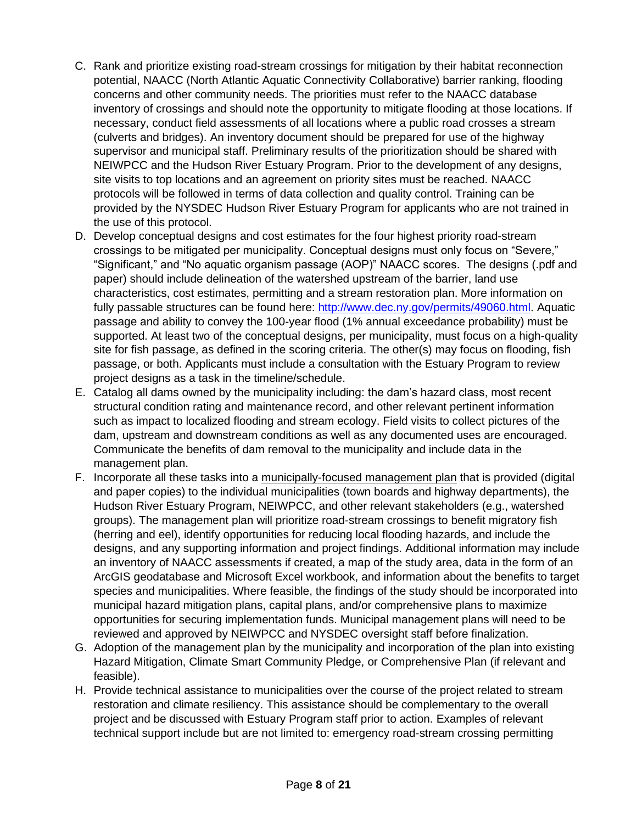- C. Rank and prioritize existing road-stream crossings for mitigation by their habitat reconnection potential, NAACC (North Atlantic Aquatic Connectivity Collaborative) barrier ranking, flooding concerns and other community needs. The priorities must refer to the NAACC database inventory of crossings and should note the opportunity to mitigate flooding at those locations. If necessary, conduct field assessments of all locations where a public road crosses a stream (culverts and bridges). An inventory document should be prepared for use of the highway supervisor and municipal staff. Preliminary results of the prioritization should be shared with NEIWPCC and the Hudson River Estuary Program. Prior to the development of any designs, site visits to top locations and an agreement on priority sites must be reached. NAACC protocols will be followed in terms of data collection and quality control. Training can be provided by the NYSDEC Hudson River Estuary Program for applicants who are not trained in the use of this protocol.
- D. Develop conceptual designs and cost estimates for the four highest priority road-stream crossings to be mitigated per municipality. Conceptual designs must only focus on "Severe," "Significant," and "No aquatic organism passage (AOP)" NAACC scores. The designs (.pdf and paper) should include delineation of the watershed upstream of the barrier, land use characteristics, cost estimates, permitting and a stream restoration plan. More information on fully passable structures can be found here: [http://www.dec.ny.gov/permits/49060.html.](http://www.dec.ny.gov/permits/49060.html) Aquatic passage and ability to convey the 100-year flood (1% annual exceedance probability) must be supported. At least two of the conceptual designs, per municipality, must focus on a high-quality site for fish passage, as defined in the scoring criteria. The other(s) may focus on flooding, fish passage, or both. Applicants must include a consultation with the Estuary Program to review project designs as a task in the timeline/schedule.
- E. Catalog all dams owned by the municipality including: the dam's hazard class, most recent structural condition rating and maintenance record, and other relevant pertinent information such as impact to localized flooding and stream ecology. Field visits to collect pictures of the dam, upstream and downstream conditions as well as any documented uses are encouraged. Communicate the benefits of dam removal to the municipality and include data in the management plan.
- F. Incorporate all these tasks into a municipally-focused management plan that is provided (digital and paper copies) to the individual municipalities (town boards and highway departments), the Hudson River Estuary Program, NEIWPCC, and other relevant stakeholders (e.g., watershed groups). The management plan will prioritize road-stream crossings to benefit migratory fish (herring and eel), identify opportunities for reducing local flooding hazards, and include the designs, and any supporting information and project findings. Additional information may include an inventory of NAACC assessments if created, a map of the study area, data in the form of an ArcGIS geodatabase and Microsoft Excel workbook, and information about the benefits to target species and municipalities. Where feasible, the findings of the study should be incorporated into municipal hazard mitigation plans, capital plans, and/or comprehensive plans to maximize opportunities for securing implementation funds. Municipal management plans will need to be reviewed and approved by NEIWPCC and NYSDEC oversight staff before finalization.
- G. Adoption of the management plan by the municipality and incorporation of the plan into existing Hazard Mitigation, Climate Smart Community Pledge, or Comprehensive Plan (if relevant and feasible).
- H. Provide technical assistance to municipalities over the course of the project related to stream restoration and climate resiliency. This assistance should be complementary to the overall project and be discussed with Estuary Program staff prior to action. Examples of relevant technical support include but are not limited to: emergency road-stream crossing permitting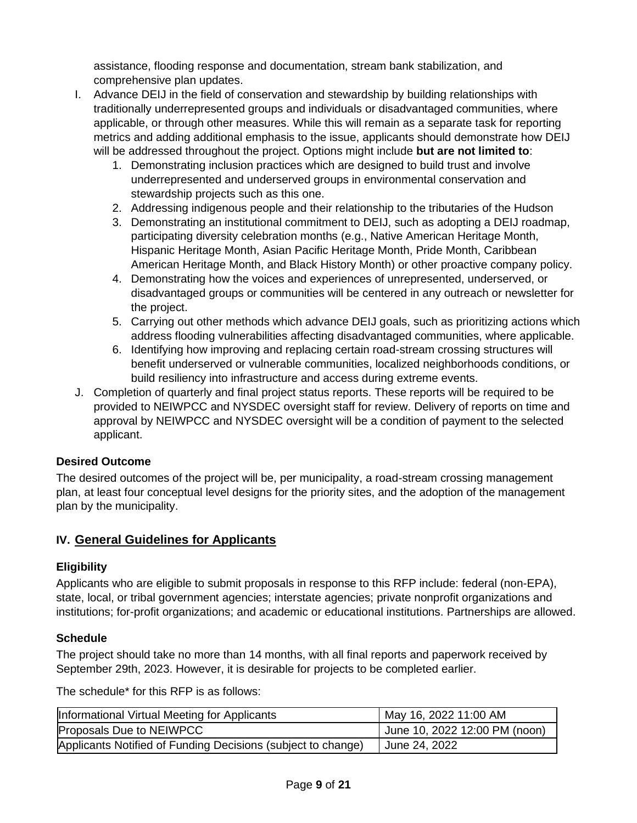assistance, flooding response and documentation, stream bank stabilization, and comprehensive plan updates.

- I. Advance DEIJ in the field of conservation and stewardship by building relationships with traditionally underrepresented groups and individuals or disadvantaged communities, where applicable, or through other measures. While this will remain as a separate task for reporting metrics and adding additional emphasis to the issue, applicants should demonstrate how DEIJ will be addressed throughout the project. Options might include **but are not limited to**:
	- 1. Demonstrating inclusion practices which are designed to build trust and involve underrepresented and underserved groups in environmental conservation and stewardship projects such as this one.
	- 2. Addressing indigenous people and their relationship to the tributaries of the Hudson
	- 3. Demonstrating an institutional commitment to DEIJ, such as adopting a DEIJ roadmap, participating diversity celebration months (e.g., Native American Heritage Month, Hispanic Heritage Month, Asian Pacific Heritage Month, Pride Month, Caribbean American Heritage Month, and Black History Month) or other proactive company policy.
	- 4. Demonstrating how the voices and experiences of unrepresented, underserved, or disadvantaged groups or communities will be centered in any outreach or newsletter for the project.
	- 5. Carrying out other methods which advance DEIJ goals, such as prioritizing actions which address flooding vulnerabilities affecting disadvantaged communities, where applicable.
	- 6. Identifying how improving and replacing certain road-stream crossing structures will benefit underserved or vulnerable communities, localized neighborhoods conditions, or build resiliency into infrastructure and access during extreme events.
- J. Completion of quarterly and final project status reports. These reports will be required to be provided to NEIWPCC and NYSDEC oversight staff for review. Delivery of reports on time and approval by NEIWPCC and NYSDEC oversight will be a condition of payment to the selected applicant.

### **Desired Outcome**

The desired outcomes of the project will be, per municipality, a road-stream crossing management plan, at least four conceptual level designs for the priority sites, and the adoption of the management plan by the municipality.

# <span id="page-8-0"></span>**IV. General Guidelines for Applicants**

### **Eligibility**

Applicants who are eligible to submit proposals in response to this RFP include: federal (non-EPA), state, local, or tribal government agencies; interstate agencies; private nonprofit organizations and institutions; for-profit organizations; and academic or educational institutions. Partnerships are allowed.

### **Schedule**

The project should take no more than 14 months, with all final reports and paperwork received by September 29th, 2023. However, it is desirable for projects to be completed earlier.

The schedule\* for this RFP is as follows:

| Informational Virtual Meeting for Applicants                 | May 16, 2022 11:00 AM         |
|--------------------------------------------------------------|-------------------------------|
| Proposals Due to NEIWPCC                                     | June 10, 2022 12:00 PM (noon) |
| Applicants Notified of Funding Decisions (subject to change) | June 24, 2022                 |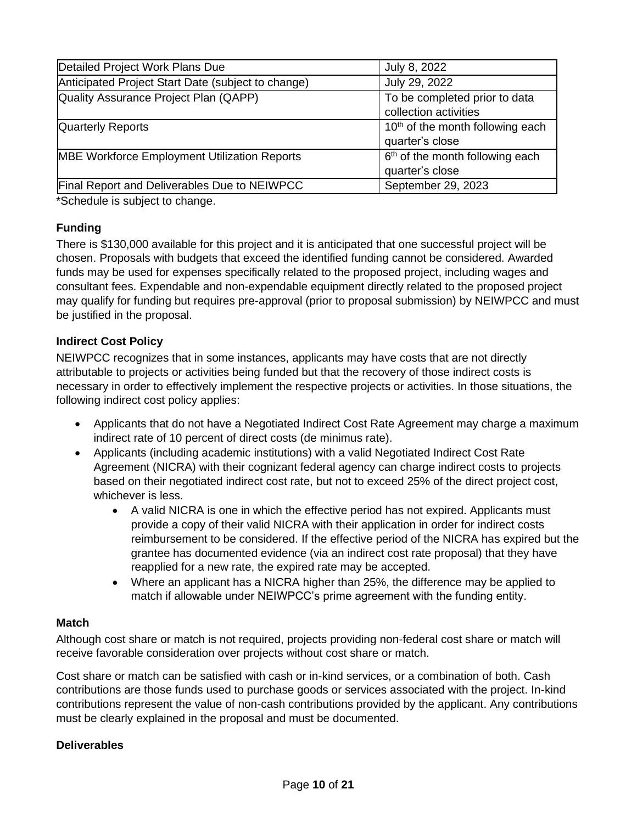| Detailed Project Work Plans Due                     | July 8, 2022                                                    |
|-----------------------------------------------------|-----------------------------------------------------------------|
| Anticipated Project Start Date (subject to change)  | July 29, 2022                                                   |
| Quality Assurance Project Plan (QAPP)               | To be completed prior to data<br>collection activities          |
| <b>Quarterly Reports</b>                            | 10 <sup>th</sup> of the month following each<br>quarter's close |
| <b>MBE Workforce Employment Utilization Reports</b> | 6 <sup>th</sup> of the month following each<br>quarter's close  |
| Final Report and Deliverables Due to NEIWPCC        | September 29, 2023                                              |

\*Schedule is subject to change.

#### **Funding**

There is \$130,000 available for this project and it is anticipated that one successful project will be chosen. Proposals with budgets that exceed the identified funding cannot be considered. Awarded funds may be used for expenses specifically related to the proposed project, including wages and consultant fees. Expendable and non-expendable equipment directly related to the proposed project may qualify for funding but requires pre-approval (prior to proposal submission) by NEIWPCC and must be justified in the proposal.

### **Indirect Cost Policy**

NEIWPCC recognizes that in some instances, applicants may have costs that are not directly attributable to projects or activities being funded but that the recovery of those indirect costs is necessary in order to effectively implement the respective projects or activities. In those situations, the following indirect cost policy applies:

- Applicants that do not have a Negotiated Indirect Cost Rate Agreement may charge a maximum indirect rate of 10 percent of direct costs (de minimus rate).
- Applicants (including academic institutions) with a valid Negotiated Indirect Cost Rate Agreement (NICRA) with their cognizant federal agency can charge indirect costs to projects based on their negotiated indirect cost rate, but not to exceed 25% of the direct project cost, whichever is less.
	- A valid NICRA is one in which the effective period has not expired. Applicants must provide a copy of their valid NICRA with their application in order for indirect costs reimbursement to be considered. If the effective period of the NICRA has expired but the grantee has documented evidence (via an indirect cost rate proposal) that they have reapplied for a new rate, the expired rate may be accepted.
	- Where an applicant has a NICRA higher than 25%, the difference may be applied to match if allowable under NEIWPCC's prime agreement with the funding entity.

#### **Match**

Although cost share or match is not required, projects providing non-federal cost share or match will receive favorable consideration over projects without cost share or match.

Cost share or match can be satisfied with cash or in-kind services, or a combination of both. Cash contributions are those funds used to purchase goods or services associated with the project. In-kind contributions represent the value of non-cash contributions provided by the applicant. Any contributions must be clearly explained in the proposal and must be documented.

#### **Deliverables**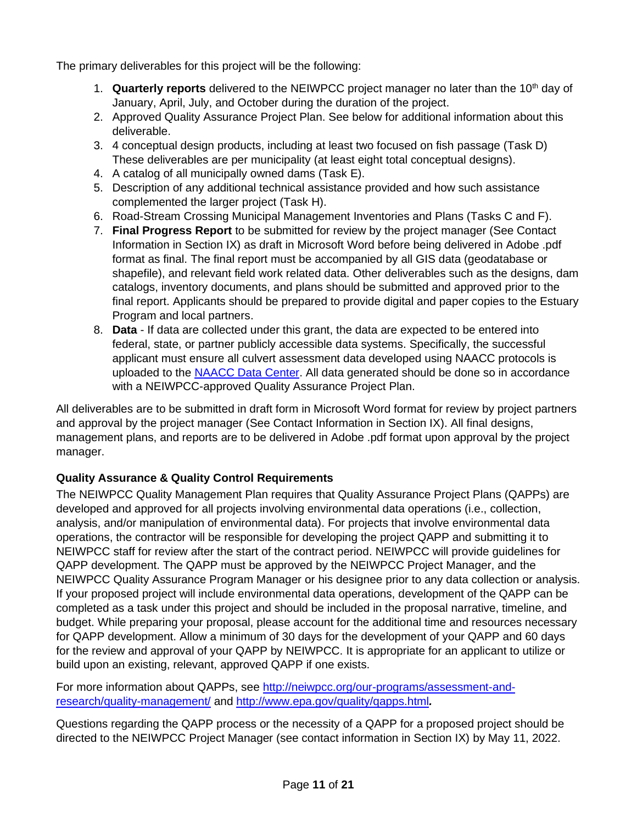The primary deliverables for this project will be the following:

- 1. **Quarterly reports** delivered to the NEIWPCC project manager no later than the 10th day of January, April, July, and October during the duration of the project.
- 2. Approved Quality Assurance Project Plan. See below for additional information about this deliverable.
- 3. 4 conceptual design products, including at least two focused on fish passage (Task D) These deliverables are per municipality (at least eight total conceptual designs).
- 4. A catalog of all municipally owned dams (Task E).
- 5. Description of any additional technical assistance provided and how such assistance complemented the larger project (Task H).
- 6. Road-Stream Crossing Municipal Management Inventories and Plans (Tasks C and F).
- 7. **Final Progress Report** to be submitted for review by the project manager (See Contact Information in Section IX) as draft in Microsoft Word before being delivered in Adobe .pdf format as final. The final report must be accompanied by all GIS data (geodatabase or shapefile), and relevant field work related data. Other deliverables such as the designs, dam catalogs, inventory documents, and plans should be submitted and approved prior to the final report. Applicants should be prepared to provide digital and paper copies to the Estuary Program and local partners.
- 8. **Data** If data are collected under this grant, the data are expected to be entered into federal, state, or partner publicly accessible data systems. Specifically, the successful applicant must ensure all culvert assessment data developed using NAACC protocols is uploaded to the [NAACC Data Center.](https://naacc.org/naacc_data_center_home.cfm) All data generated should be done so in accordance with a NEIWPCC-approved Quality Assurance Project Plan.

All deliverables are to be submitted in draft form in Microsoft Word format for review by project partners and approval by the project manager (See Contact Information in Section IX). All final designs, management plans, and reports are to be delivered in Adobe .pdf format upon approval by the project manager.

### **Quality Assurance & Quality Control Requirements**

The NEIWPCC Quality Management Plan requires that Quality Assurance Project Plans (QAPPs) are developed and approved for all projects involving environmental data operations (i.e., collection, analysis, and/or manipulation of environmental data). For projects that involve environmental data operations, the contractor will be responsible for developing the project QAPP and submitting it to NEIWPCC staff for review after the start of the contract period. NEIWPCC will provide guidelines for QAPP development. The QAPP must be approved by the NEIWPCC Project Manager, and the NEIWPCC Quality Assurance Program Manager or his designee prior to any data collection or analysis. If your proposed project will include environmental data operations, development of the QAPP can be completed as a task under this project and should be included in the proposal narrative, timeline, and budget. While preparing your proposal, please account for the additional time and resources necessary for QAPP development. Allow a minimum of 30 days for the development of your QAPP and 60 days for the review and approval of your QAPP by NEIWPCC. It is appropriate for an applicant to utilize or build upon an existing, relevant, approved QAPP if one exists.

For more information about QAPPs, see [http://neiwpcc.org/our-programs/assessment-and](http://neiwpcc.org/our-programs/assessment-and-research/quality-management/)[research/quality-management/](http://neiwpcc.org/our-programs/assessment-and-research/quality-management/) and [http://www.epa.gov/quality/qapps.h](http://www.epa.gov/quality/qapps.html)tml*.*

Questions regarding the QAPP process or the necessity of a QAPP for a proposed project should be directed to the NEIWPCC Project Manager (see contact information in Section IX) by May 11, 2022.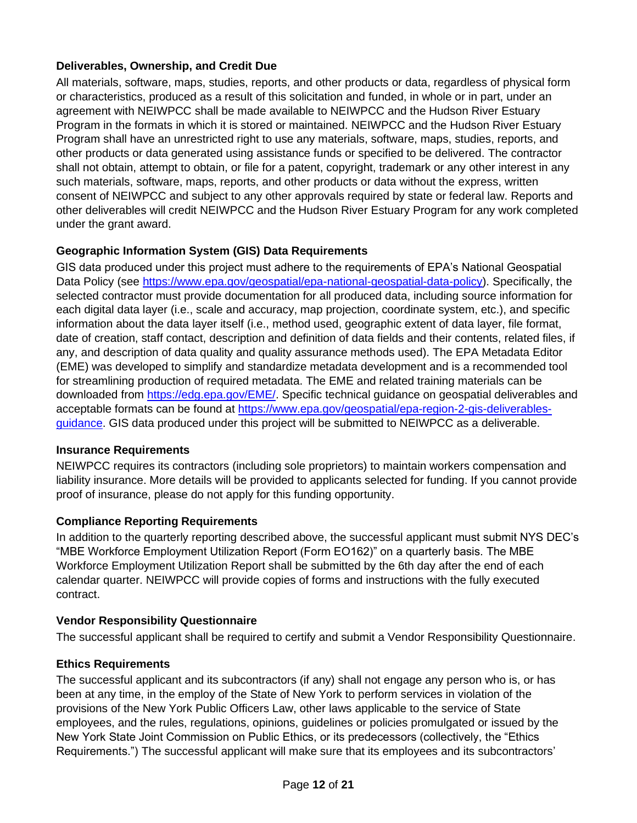### **Deliverables, Ownership, and Credit Due**

All materials, software, maps, studies, reports, and other products or data, regardless of physical form or characteristics, produced as a result of this solicitation and funded, in whole or in part, under an agreement with NEIWPCC shall be made available to NEIWPCC and the Hudson River Estuary Program in the formats in which it is stored or maintained. NEIWPCC and the Hudson River Estuary Program shall have an unrestricted right to use any materials, software, maps, studies, reports, and other products or data generated using assistance funds or specified to be delivered. The contractor shall not obtain, attempt to obtain, or file for a patent, copyright, trademark or any other interest in any such materials, software, maps, reports, and other products or data without the express, written consent of NEIWPCC and subject to any other approvals required by state or federal law. Reports and other deliverables will credit NEIWPCC and the Hudson River Estuary Program for any work completed under the grant award.

## **Geographic Information System (GIS) Data Requirements**

GIS data produced under this project must adhere to the requirements of EPA's National Geospatial Data Policy (see [https://www.epa.gov/geospatial/epa-national-geospatial-data-policy\)](https://www.epa.gov/geospatial/epa-national-geospatial-data-policy). Specifically, the selected contractor must provide documentation for all produced data, including source information for each digital data layer (i.e., scale and accuracy, map projection, coordinate system, etc.), and specific information about the data layer itself (i.e., method used, geographic extent of data layer, file format, date of creation, staff contact, description and definition of data fields and their contents, related files, if any, and description of data quality and quality assurance methods used). The EPA Metadata Editor (EME) was developed to simplify and standardize metadata development and is a recommended tool for streamlining production of required metadata. The EME and related training materials can be downloaded from [https://edg.epa.gov/EME/.](https://edg.epa.gov/EME/) Specific technical guidance on geospatial deliverables and acceptable formats can be found at [https://www.epa.gov/geospatial/epa-region-2-gis-deliverables](https://www.epa.gov/geospatial/epa-region-2-gis-deliverables-guidance)[guidance.](https://www.epa.gov/geospatial/epa-region-2-gis-deliverables-guidance) GIS data produced under this project will be submitted to NEIWPCC as a deliverable.

### **Insurance Requirements**

NEIWPCC requires its contractors (including sole proprietors) to maintain workers compensation and liability insurance. More details will be provided to applicants selected for funding. If you cannot provide proof of insurance, please do not apply for this funding opportunity.

### **Compliance Reporting Requirements**

In addition to the quarterly reporting described above, the successful applicant must submit NYS DEC's "MBE Workforce Employment Utilization Report (Form EO162)" on a quarterly basis. The MBE Workforce Employment Utilization Report shall be submitted by the 6th day after the end of each calendar quarter. NEIWPCC will provide copies of forms and instructions with the fully executed contract.

### **Vendor Responsibility Questionnaire**

The successful applicant shall be required to certify and submit a Vendor Responsibility Questionnaire.

### **Ethics Requirements**

The successful applicant and its subcontractors (if any) shall not engage any person who is, or has been at any time, in the employ of the State of New York to perform services in violation of the provisions of the New York Public Officers Law, other laws applicable to the service of State employees, and the rules, regulations, opinions, guidelines or policies promulgated or issued by the New York State Joint Commission on Public Ethics, or its predecessors (collectively, the "Ethics Requirements.") The successful applicant will make sure that its employees and its subcontractors'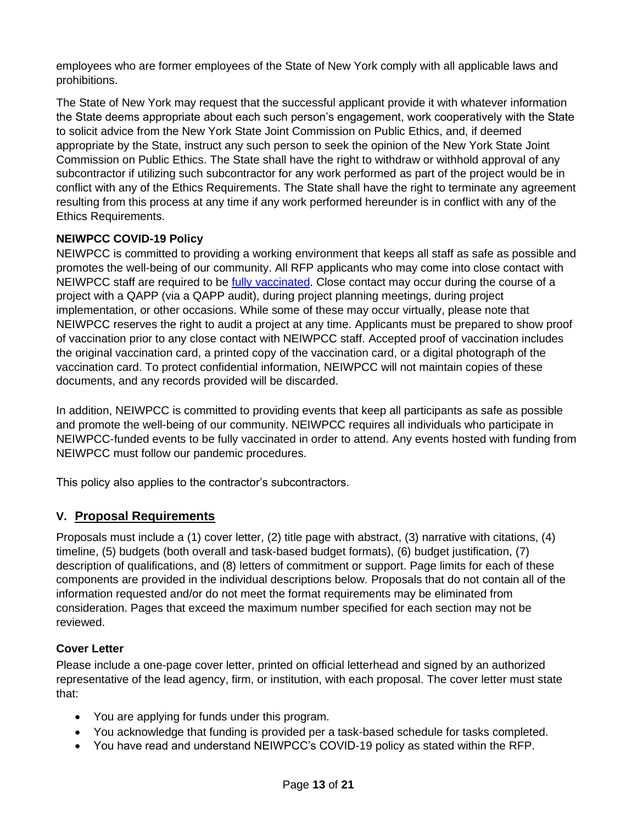employees who are former employees of the State of New York comply with all applicable laws and prohibitions.

The State of New York may request that the successful applicant provide it with whatever information the State deems appropriate about each such person's engagement, work cooperatively with the State to solicit advice from the New York State Joint Commission on Public Ethics, and, if deemed appropriate by the State, instruct any such person to seek the opinion of the New York State Joint Commission on Public Ethics. The State shall have the right to withdraw or withhold approval of any subcontractor if utilizing such subcontractor for any work performed as part of the project would be in conflict with any of the Ethics Requirements. The State shall have the right to terminate any agreement resulting from this process at any time if any work performed hereunder is in conflict with any of the Ethics Requirements.

# **NEIWPCC COVID-19 Policy**

NEIWPCC is committed to providing a working environment that keeps all staff as safe as possible and promotes the well-being of our community. All RFP applicants who may come into close contact with NEIWPCC staff are required to be [fully vaccinated.](https://www.cdc.gov/coronavirus/2019-ncov/vaccines/fully-vaccinated.html) Close contact may occur during the course of a project with a QAPP (via a QAPP audit), during project planning meetings, during project implementation, or other occasions. While some of these may occur virtually, please note that NEIWPCC reserves the right to audit a project at any time. Applicants must be prepared to show proof of vaccination prior to any close contact with NEIWPCC staff. Accepted proof of vaccination includes the original vaccination card, a printed copy of the vaccination card, or a digital photograph of the vaccination card. To protect confidential information, NEIWPCC will not maintain copies of these documents, and any records provided will be discarded.

In addition, NEIWPCC is committed to providing events that keep all participants as safe as possible and promote the well-being of our community. NEIWPCC requires all individuals who participate in NEIWPCC-funded events to be fully vaccinated in order to attend. Any events hosted with funding from NEIWPCC must follow our pandemic procedures.

<span id="page-12-0"></span>This policy also applies to the contractor's subcontractors.

# **V. Proposal Requirements**

Proposals must include a (1) cover letter, (2) title page with abstract, (3) narrative with citations, (4) timeline, (5) budgets (both overall and task-based budget formats), (6) budget justification, (7) description of qualifications, and (8) letters of commitment or support. Page limits for each of these components are provided in the individual descriptions below. Proposals that do not contain all of the information requested and/or do not meet the format requirements may be eliminated from consideration. Pages that exceed the maximum number specified for each section may not be reviewed.

### **Cover Letter**

Please include a one-page cover letter, printed on official letterhead and signed by an authorized representative of the lead agency, firm, or institution, with each proposal. The cover letter must state that:

- You are applying for funds under this program.
- You acknowledge that funding is provided per a task-based schedule for tasks completed.
- You have read and understand NEIWPCC's COVID-19 policy as stated within the RFP.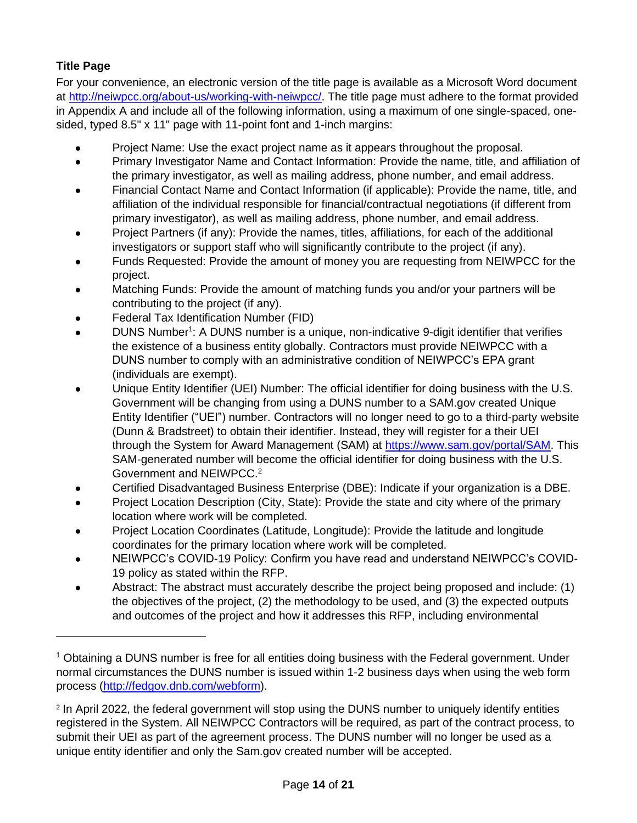# **Title Page**

For your convenience, an electronic version of the title page is available as a Microsoft Word document at [http://neiwpcc.org/about-us/working-with-neiwpcc/.](http://neiwpcc.org/about-us/working-with-neiwpcc/) The title page must adhere to the format provided in Appendix A and include all of the following information, using a maximum of one single-spaced, onesided, typed 8.5" x 11" page with 11-point font and 1-inch margins:

- Project Name: Use the exact project name as it appears throughout the proposal.
- Primary Investigator Name and Contact Information: Provide the name, title, and affiliation of the primary investigator, as well as mailing address, phone number, and email address.
- Financial Contact Name and Contact Information (if applicable): Provide the name, title, and affiliation of the individual responsible for financial/contractual negotiations (if different from primary investigator), as well as mailing address, phone number, and email address.
- Project Partners (if any): Provide the names, titles, affiliations, for each of the additional investigators or support staff who will significantly contribute to the project (if any).
- Funds Requested: Provide the amount of money you are requesting from NEIWPCC for the project.
- Matching Funds: Provide the amount of matching funds you and/or your partners will be contributing to the project (if any).
- **Federal Tax Identification Number (FID)**
- DUNS Number<sup>1</sup>: A DUNS number is a unique, non-indicative 9-digit identifier that verifies the existence of a business entity globally. Contractors must provide NEIWPCC with a DUNS number to comply with an administrative condition of NEIWPCC's EPA grant (individuals are exempt).
- Unique Entity Identifier (UEI) Number: The official identifier for doing business with the U.S. Government will be changing from using a DUNS number to a SAM.gov created Unique Entity Identifier ("UEI") number. Contractors will no longer need to go to a third-party website (Dunn & Bradstreet) to obtain their identifier. Instead, they will register for a their UEI through the System for Award Management (SAM) at [https://www.sam.gov/portal/SAM.](https://www.sam.gov/portal/SAM) This SAM-generated number will become the official identifier for doing business with the U.S. Government and NEIWPCC.<sup>2</sup>
- Certified Disadvantaged Business Enterprise (DBE): Indicate if your organization is a DBE.
- Project Location Description (City, State): Provide the state and city where of the primary location where work will be completed.
- Project Location Coordinates (Latitude, Longitude): Provide the latitude and longitude coordinates for the primary location where work will be completed.
- NEIWPCC's COVID-19 Policy: Confirm you have read and understand NEIWPCC's COVID-19 policy as stated within the RFP.
- Abstract: The abstract must accurately describe the project being proposed and include: (1) the objectives of the project, (2) the methodology to be used, and (3) the expected outputs and outcomes of the project and how it addresses this RFP, including environmental

 $1$  Obtaining a DUNS number is free for all entities doing business with the Federal government. Under normal circumstances the DUNS number is issued within 1-2 business days when using the web form process [\(http://fedgov.dnb.com/webform\)](http://fedgov.dnb.com/webform).

<sup>2</sup> In April 2022, the federal government will stop using the DUNS number to uniquely identify entities registered in the System. All NEIWPCC Contractors will be required, as part of the contract process, to submit their UEI as part of the agreement process. The DUNS number will no longer be used as a unique entity identifier and only the Sam.gov created number will be accepted.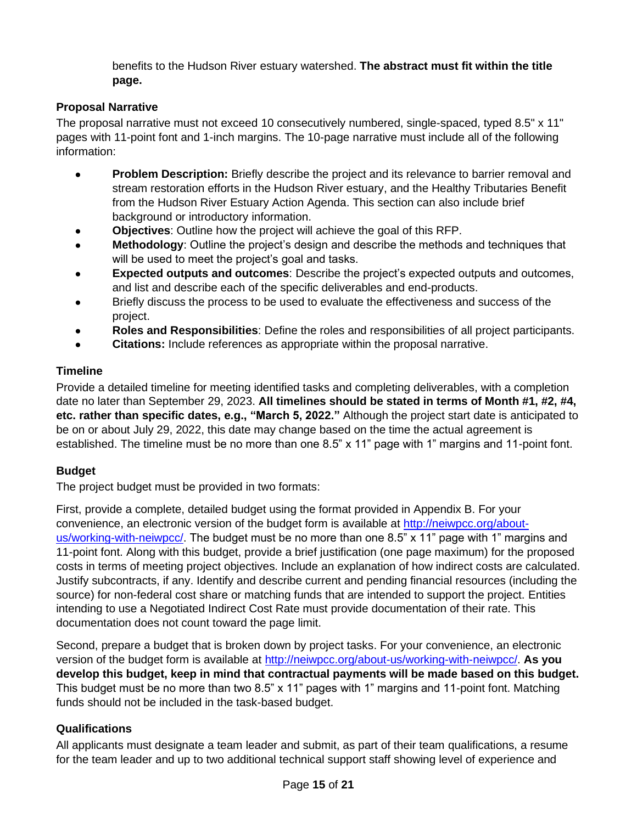benefits to the Hudson River estuary watershed. **The abstract must fit within the title page.**

## **Proposal Narrative**

The proposal narrative must not exceed 10 consecutively numbered, single-spaced, typed 8.5" x 11" pages with 11-point font and 1-inch margins. The 10-page narrative must include all of the following information:

- **Problem Description:** Briefly describe the project and its relevance to barrier removal and stream restoration efforts in the Hudson River estuary, and the Healthy Tributaries Benefit from the Hudson River Estuary Action Agenda. This section can also include brief background or introductory information.
- **Objectives:** Outline how the project will achieve the goal of this RFP.
- **Methodology:** Outline the project's design and describe the methods and techniques that will be used to meet the project's goal and tasks.
- **Expected outputs and outcomes:** Describe the project's expected outputs and outcomes, and list and describe each of the specific deliverables and end-products.
- Briefly discuss the process to be used to evaluate the effectiveness and success of the project.
- **Roles and Responsibilities**: Define the roles and responsibilities of all project participants.
- **Citations:** Include references as appropriate within the proposal narrative.

## **Timeline**

Provide a detailed timeline for meeting identified tasks and completing deliverables, with a completion date no later than September 29, 2023. **All timelines should be stated in terms of Month #1, #2, #4, etc. rather than specific dates, e.g., "March 5, 2022."** Although the project start date is anticipated to be on or about July 29, 2022, this date may change based on the time the actual agreement is established. The timeline must be no more than one 8.5" x 11" page with 1" margins and 11-point font.

### **Budget**

The project budget must be provided in two formats:

First, provide a complete, detailed budget using the format provided in Appendix B. For your convenience, an electronic version of the budget form is available at [http://neiwpcc.org/about](http://neiwpcc.org/about-us/working-with-neiwpcc/)[us/working-with-neiwpcc/.](http://neiwpcc.org/about-us/working-with-neiwpcc/) The budget must be no more than one 8.5" x 11" page with 1" margins and 11-point font. Along with this budget, provide a brief justification (one page maximum) for the proposed costs in terms of meeting project objectives. Include an explanation of how indirect costs are calculated. Justify subcontracts, if any. Identify and describe current and pending financial resources (including the source) for non-federal cost share or matching funds that are intended to support the project. Entities intending to use a Negotiated Indirect Cost Rate must provide documentation of their rate. This documentation does not count toward the page limit.

Second, prepare a budget that is broken down by project tasks. For your convenience, an electronic version of the budget form is available at [http://neiwpcc.org/about-us/working-with-neiwpcc/.](http://neiwpcc.org/about-us/working-with-neiwpcc/) **As you develop this budget, keep in mind that contractual payments will be made based on this budget.**  This budget must be no more than two 8.5" x 11" pages with 1" margins and 11-point font. Matching funds should not be included in the task-based budget.

### **Qualifications**

All applicants must designate a team leader and submit, as part of their team qualifications, a resume for the team leader and up to two additional technical support staff showing level of experience and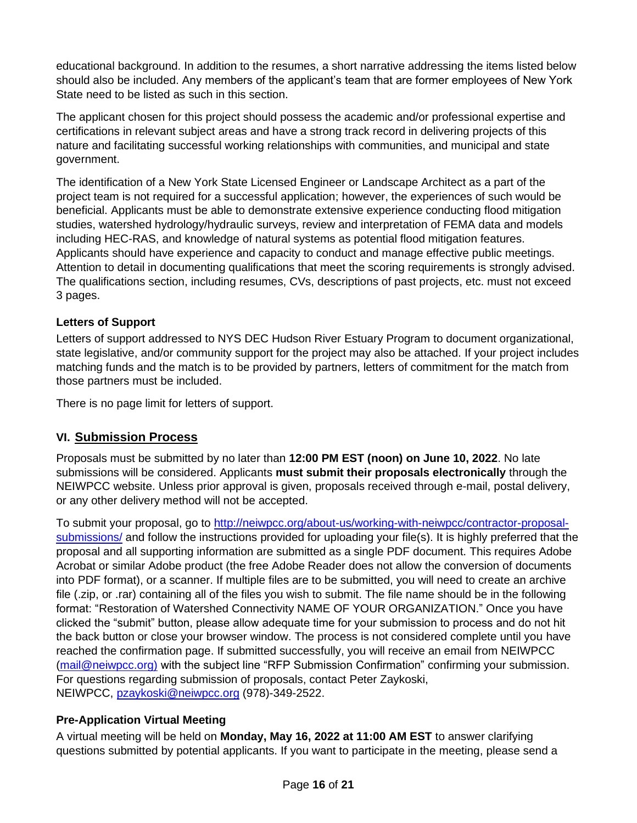educational background. In addition to the resumes, a short narrative addressing the items listed below should also be included. Any members of the applicant's team that are former employees of New York State need to be listed as such in this section.

The applicant chosen for this project should possess the academic and/or professional expertise and certifications in relevant subject areas and have a strong track record in delivering projects of this nature and facilitating successful working relationships with communities, and municipal and state government.

The identification of a New York State Licensed Engineer or Landscape Architect as a part of the project team is not required for a successful application; however, the experiences of such would be beneficial. Applicants must be able to demonstrate extensive experience conducting flood mitigation studies, watershed hydrology/hydraulic surveys, review and interpretation of FEMA data and models including HEC-RAS, and knowledge of natural systems as potential flood mitigation features. Applicants should have experience and capacity to conduct and manage effective public meetings. Attention to detail in documenting qualifications that meet the scoring requirements is strongly advised. The qualifications section, including resumes, CVs, descriptions of past projects, etc. must not exceed 3 pages.

### **Letters of Support**

Letters of support addressed to NYS DEC Hudson River Estuary Program to document organizational, state legislative, and/or community support for the project may also be attached. If your project includes matching funds and the match is to be provided by partners, letters of commitment for the match from those partners must be included.

There is no page limit for letters of support.

# <span id="page-15-0"></span>**VI. Submission Process**

Proposals must be submitted by no later than **12:00 PM EST (noon) on June 10, 2022**. No late submissions will be considered. Applicants **must submit their proposals electronically** through the NEIWPCC website. Unless prior approval is given, proposals received through e-mail, postal delivery, or any other delivery method will not be accepted.

To submit your proposal, go to [http://neiwpcc.org/about-us/working-with-neiwpcc/contractor-proposal](http://neiwpcc.org/about-us/working-with-neiwpcc/contractor-proposal-submissions/)[submissions/](http://neiwpcc.org/about-us/working-with-neiwpcc/contractor-proposal-submissions/) and follow the instructions provided for uploading your file(s). It is highly preferred that the proposal and all supporting information are submitted as a single PDF document. This requires Adobe Acrobat or similar Adobe product (the free Adobe Reader does not allow the conversion of documents into PDF format), or a scanner. If multiple files are to be submitted, you will need to create an archive file (.zip, or .rar) containing all of the files you wish to submit. The file name should be in the following format: "Restoration of Watershed Connectivity NAME OF YOUR ORGANIZATION." Once you have clicked the "submit" button, please allow adequate time for your submission to process and do not hit the back button or close your browser window. The process is not considered complete until you have reached the confirmation page. If submitted successfully, you will receive an email from NEIWPCC [\(mail@neiwpcc.org\)](mailto:mail@neiwpcc.org) with the subject line "RFP Submission Confirmation" confirming your submission. For questions regarding submission of proposals, contact Peter Zaykoski, NEIWPCC, [pzaykoski@neiwpcc.org](mailto:pzaykoski@neiwpcc.org) (978)-349-2522.

### **Pre-Application Virtual Meeting**

A virtual meeting will be held on **Monday, May 16, 2022 at 11:00 AM EST** to answer clarifying questions submitted by potential applicants. If you want to participate in the meeting, please send a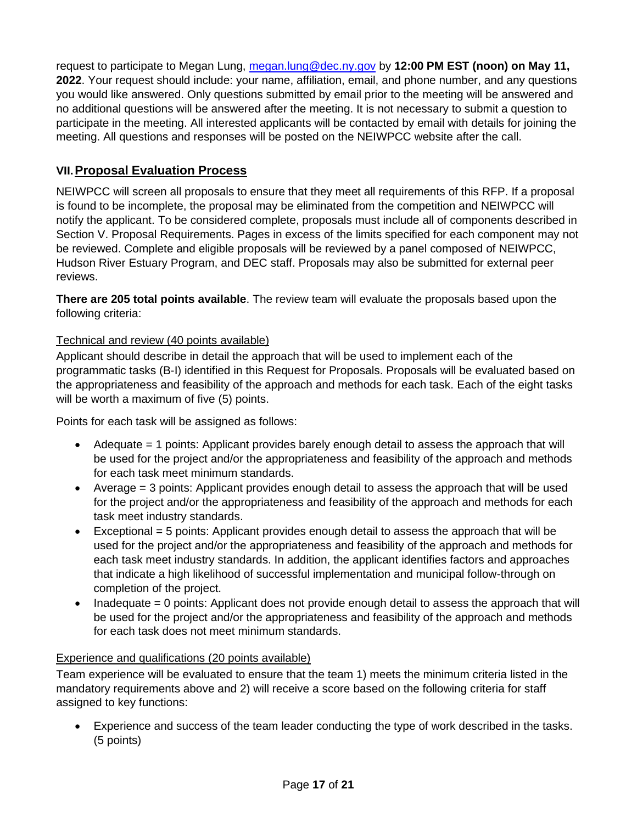request to participate to Megan Lung, [megan.lung@dec.ny.gov](mailto:megan.lung@dec.ny.gov) by **12:00 PM EST (noon) on May 11, 2022**. Your request should include: your name, affiliation, email, and phone number, and any questions you would like answered. Only questions submitted by email prior to the meeting will be answered and no additional questions will be answered after the meeting. It is not necessary to submit a question to participate in the meeting. All interested applicants will be contacted by email with details for joining the meeting. All questions and responses will be posted on the NEIWPCC website after the call.

# <span id="page-16-0"></span>**VII.Proposal Evaluation Process**

NEIWPCC will screen all proposals to ensure that they meet all requirements of this RFP. If a proposal is found to be incomplete, the proposal may be eliminated from the competition and NEIWPCC will notify the applicant. To be considered complete, proposals must include all of components described in Section V. Proposal Requirements. Pages in excess of the limits specified for each component may not be reviewed. Complete and eligible proposals will be reviewed by a panel composed of NEIWPCC, Hudson River Estuary Program, and DEC staff. Proposals may also be submitted for external peer reviews.

**There are 205 total points available**. The review team will evaluate the proposals based upon the following criteria:

### Technical and review (40 points available)

Applicant should describe in detail the approach that will be used to implement each of the programmatic tasks (B-I) identified in this Request for Proposals. Proposals will be evaluated based on the appropriateness and feasibility of the approach and methods for each task. Each of the eight tasks will be worth a maximum of five (5) points.

Points for each task will be assigned as follows:

- Adequate = 1 points: Applicant provides barely enough detail to assess the approach that will be used for the project and/or the appropriateness and feasibility of the approach and methods for each task meet minimum standards.
- Average = 3 points: Applicant provides enough detail to assess the approach that will be used for the project and/or the appropriateness and feasibility of the approach and methods for each task meet industry standards.
- $\bullet$  Exceptional = 5 points: Applicant provides enough detail to assess the approach that will be used for the project and/or the appropriateness and feasibility of the approach and methods for each task meet industry standards. In addition, the applicant identifies factors and approaches that indicate a high likelihood of successful implementation and municipal follow-through on completion of the project.
- Inadequate = 0 points: Applicant does not provide enough detail to assess the approach that will be used for the project and/or the appropriateness and feasibility of the approach and methods for each task does not meet minimum standards.

### Experience and qualifications (20 points available)

Team experience will be evaluated to ensure that the team 1) meets the minimum criteria listed in the mandatory requirements above and 2) will receive a score based on the following criteria for staff assigned to key functions:

• Experience and success of the team leader conducting the type of work described in the tasks. (5 points)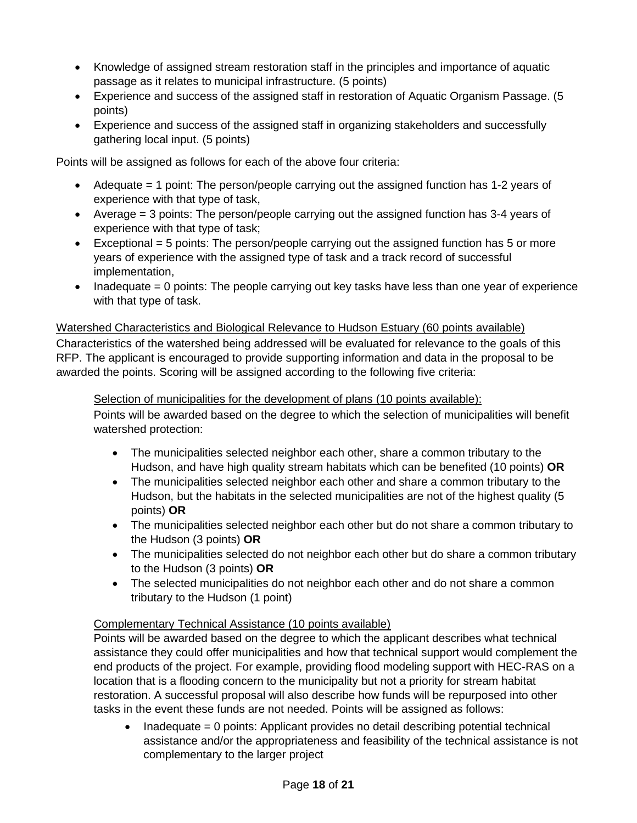- Knowledge of assigned stream restoration staff in the principles and importance of aquatic passage as it relates to municipal infrastructure. (5 points)
- Experience and success of the assigned staff in restoration of Aquatic Organism Passage. (5 points)
- Experience and success of the assigned staff in organizing stakeholders and successfully gathering local input. (5 points)

Points will be assigned as follows for each of the above four criteria:

- Adequate  $= 1$  point: The person/people carrying out the assigned function has 1-2 years of experience with that type of task,
- Average  $=$  3 points: The person/people carrying out the assigned function has 3-4 years of experience with that type of task;
- $\bullet$  Exceptional = 5 points: The person/people carrying out the assigned function has 5 or more years of experience with the assigned type of task and a track record of successful implementation,
- Inadequate = 0 points: The people carrying out key tasks have less than one year of experience with that type of task.

### Watershed Characteristics and Biological Relevance to Hudson Estuary (60 points available) Characteristics of the watershed being addressed will be evaluated for relevance to the goals of this RFP. The applicant is encouraged to provide supporting information and data in the proposal to be awarded the points. Scoring will be assigned according to the following five criteria:

#### Selection of municipalities for the development of plans (10 points available):

Points will be awarded based on the degree to which the selection of municipalities will benefit watershed protection:

- The municipalities selected neighbor each other, share a common tributary to the Hudson, and have high quality stream habitats which can be benefited (10 points) **OR**
- The municipalities selected neighbor each other and share a common tributary to the Hudson, but the habitats in the selected municipalities are not of the highest quality (5 points) **OR**
- The municipalities selected neighbor each other but do not share a common tributary to the Hudson (3 points) **OR**
- The municipalities selected do not neighbor each other but do share a common tributary to the Hudson (3 points) **OR**
- The selected municipalities do not neighbor each other and do not share a common tributary to the Hudson (1 point)

### Complementary Technical Assistance (10 points available)

Points will be awarded based on the degree to which the applicant describes what technical assistance they could offer municipalities and how that technical support would complement the end products of the project. For example, providing flood modeling support with HEC-RAS on a location that is a flooding concern to the municipality but not a priority for stream habitat restoration. A successful proposal will also describe how funds will be repurposed into other tasks in the event these funds are not needed. Points will be assigned as follows:

• Inadequate = 0 points: Applicant provides no detail describing potential technical assistance and/or the appropriateness and feasibility of the technical assistance is not complementary to the larger project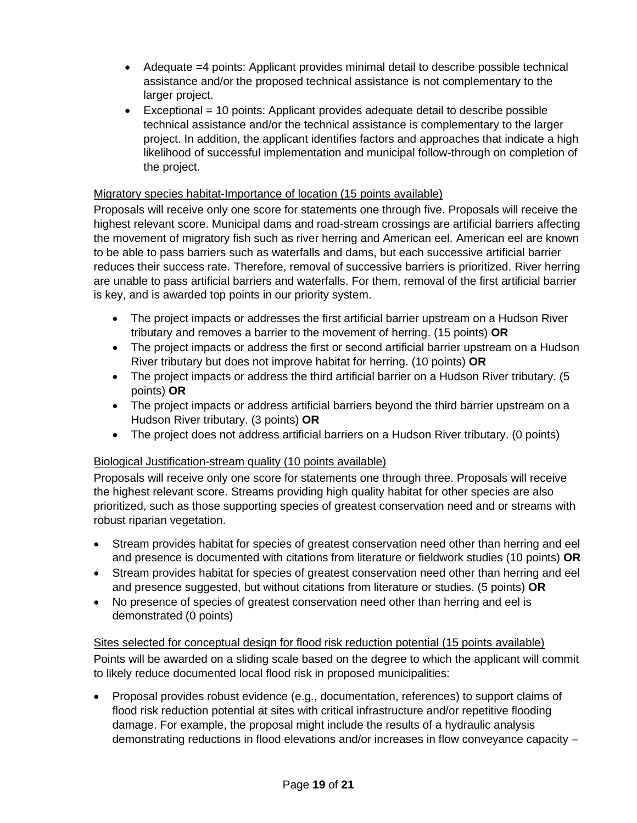- Adequate =4 points: Applicant provides minimal detail to describe possible technical assistance and/or the proposed technical assistance is not complementary to the larger project.
- Exceptional = 10 points: Applicant provides adequate detail to describe possible technical assistance and/or the technical assistance is complementary to the larger project. In addition, the applicant identifies factors and approaches that indicate a high likelihood of successful implementation and municipal follow-through on completion of the project.

#### Migratory species habitat-Importance of location (15 points available)

Proposals will receive only one score for statements one through five. Proposals will receive the highest relevant score. Municipal dams and road-stream crossings are artificial barriers affecting the movement of migratory fish such as river herring and American eel. American eel are known to be able to pass barriers such as waterfalls and dams, but each successive artificial barrier reduces their success rate. Therefore, removal of successive barriers is prioritized. River herring are unable to pass artificial barriers and waterfalls. For them, removal of the first artificial barrier is key, and is awarded top points in our priority system.

- The project impacts or addresses the first artificial barrier upstream on a Hudson River tributary and removes a barrier to the movement of herring. (15 points) **OR**
- The project impacts or address the first or second artificial barrier upstream on a Hudson River tributary but does not improve habitat for herring. (10 points) **OR**
- The project impacts or address the third artificial barrier on a Hudson River tributary. (5) points) **OR**
- The project impacts or address artificial barriers beyond the third barrier upstream on a Hudson River tributary. (3 points) **OR**
- The project does not address artificial barriers on a Hudson River tributary. (0 points)

#### Biological Justification-stream quality (10 points available)

Proposals will receive only one score for statements one through three. Proposals will receive the highest relevant score. Streams providing high quality habitat for other species are also prioritized, such as those supporting species of greatest conservation need and or streams with robust riparian vegetation.

- Stream provides habitat for species of greatest conservation need other than herring and eel and presence is documented with citations from literature or fieldwork studies (10 points) **OR**
- Stream provides habitat for species of greatest conservation need other than herring and eel and presence suggested, but without citations from literature or studies. (5 points) **OR**
- No presence of species of greatest conservation need other than herring and eel is demonstrated (0 points)

#### Sites selected for conceptual design for flood risk reduction potential (15 points available) Points will be awarded on a sliding scale based on the degree to which the applicant will commit to likely reduce documented local flood risk in proposed municipalities:

• Proposal provides robust evidence (e.g., documentation, references) to support claims of flood risk reduction potential at sites with critical infrastructure and/or repetitive flooding damage. For example, the proposal might include the results of a hydraulic analysis demonstrating reductions in flood elevations and/or increases in flow conveyance capacity –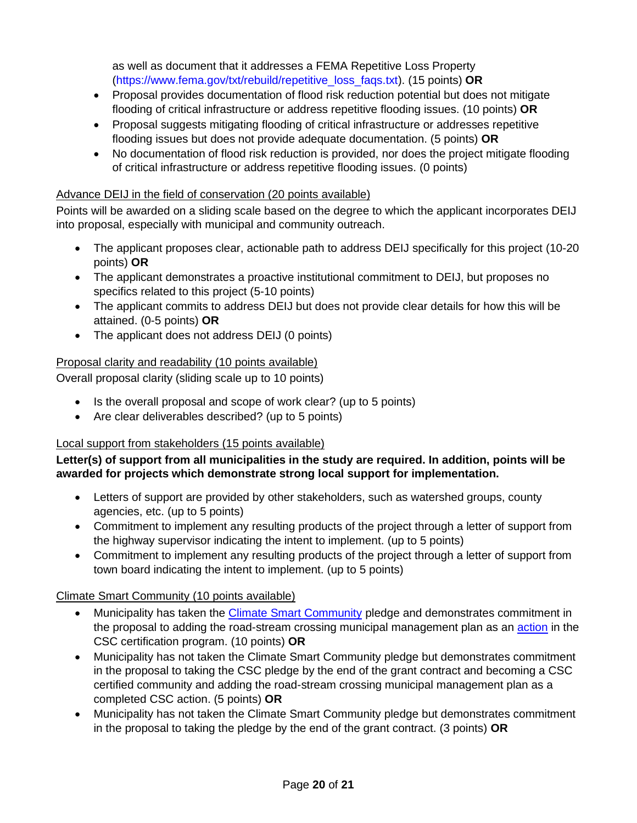as well as document that it addresses a FEMA Repetitive Loss Property [\(https://www.fema.gov/txt/rebuild/repetitive\\_loss\\_faqs.txt\)](https://www.fema.gov/txt/rebuild/repetitive_loss_faqs.txt). (15 points) **OR**

- Proposal provides documentation of flood risk reduction potential but does not mitigate flooding of critical infrastructure or address repetitive flooding issues. (10 points) **OR**
- Proposal suggests mitigating flooding of critical infrastructure or addresses repetitive flooding issues but does not provide adequate documentation. (5 points) **OR**
- No documentation of flood risk reduction is provided, nor does the project mitigate flooding of critical infrastructure or address repetitive flooding issues. (0 points)

#### Advance DEIJ in the field of conservation (20 points available)

Points will be awarded on a sliding scale based on the degree to which the applicant incorporates DEIJ into proposal, especially with municipal and community outreach.

- The applicant proposes clear, actionable path to address DEIJ specifically for this project (10-20) points) **OR**
- The applicant demonstrates a proactive institutional commitment to DEIJ, but proposes no specifics related to this project (5-10 points)
- The applicant commits to address DEIJ but does not provide clear details for how this will be attained. (0-5 points) **OR**
- The applicant does not address DEIJ (0 points)

## Proposal clarity and readability (10 points available)

Overall proposal clarity (sliding scale up to 10 points)

- Is the overall proposal and scope of work clear? (up to 5 points)
- Are clear deliverables described? (up to 5 points)

### Local support from stakeholders (15 points available)

**Letter(s) of support from all municipalities in the study are required. In addition, points will be awarded for projects which demonstrate strong local support for implementation.** 

- Letters of support are provided by other stakeholders, such as watershed groups, county agencies, etc. (up to 5 points)
- Commitment to implement any resulting products of the project through a letter of support from the highway supervisor indicating the intent to implement. (up to 5 points)
- Commitment to implement any resulting products of the project through a letter of support from town board indicating the intent to implement. (up to 5 points)

### Climate Smart Community (10 points available)

- Municipality has taken the [Climate Smart Community](https://climatesmart.ny.gov/actions-certification/) pledge and demonstrates commitment in the proposal to adding the road-stream crossing municipal management plan as an [action](https://climatesmart.ny.gov/actions-certification/actions/#close) in the CSC certification program. (10 points) **OR**
- Municipality has not taken the Climate Smart Community pledge but demonstrates commitment in the proposal to taking the CSC pledge by the end of the grant contract and becoming a CSC certified community and adding the road-stream crossing municipal management plan as a completed CSC action. (5 points) **OR**
- Municipality has not taken the Climate Smart Community pledge but demonstrates commitment in the proposal to taking the pledge by the end of the grant contract. (3 points) **OR**